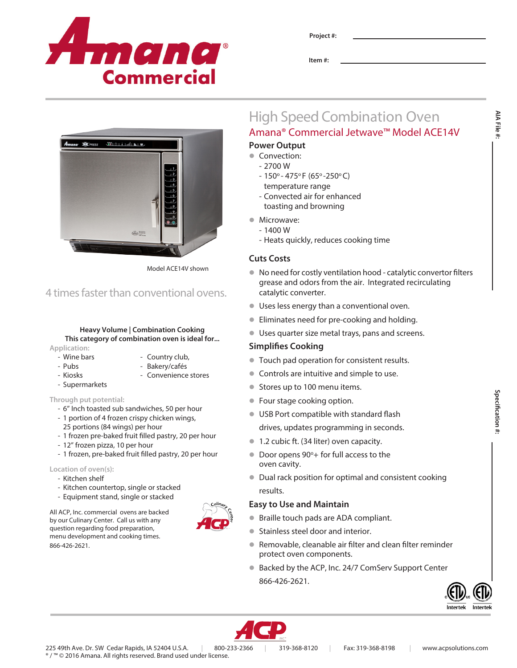

Model ACE14V shown

4 times faster than conventional ovens.

 $\triangle$ 

**Heavy Volume | Combination Cooking This category of combination oven is ideal for...**

- Wine bars - Country club, - Pubs - Bakery/cafés - Kiosks - Convenience stores

- 6" Inch toasted sub sandwiches, 50 per hour - 1 portion of 4 frozen crispy chicken wings, 25 portions (84 wings) per hour

- 12" frozen pizza, 10 per hour

- Kitchen countertop, single or stacked - Equipment stand, single or stacked All ACP, Inc. commercial ovens are backed by our Culinary Center. Call us with any question regarding food preparation, menu development and cooking times.

- 1 frozen pre-baked fruit filled pastry, 20 per hour

- 1 frozen, pre-baked fruit filled pastry, 20 per hour

**Application:**

- Supermarkets **Through put potential:**

**Location of oven(s):** - Kitchen shelf

866-426-2621.

**Project #:**

**Item #:**

## High Speed Combination Oven Amana® Commercial Jetwave™ Model ACE14V

## **Power Output**

- Convection:
	- 2700 W
	- $-150^{\circ} 475^{\circ}$  F (65° -250°C) temperature range
	- Convected air for enhanced toasting and browning
- Microwave:
	- $-1400 W$
	- Heats quickly, reduces cooking time

### **Cuts Costs**

- $\bullet$  No need for costly ventilation hood catalytic convertor filters grease and odors from the air. Integrated recirculating catalytic converter.
- l Uses less energy than a conventional oven.
- **Eliminates need for pre-cooking and holding.**
- **I** Uses quarter size metal trays, pans and screens.

#### **Simplifies Cooking**

- **Touch pad operation for consistent results.**
- Controls are intuitive and simple to use.
- Stores up to 100 menu items.
- Four stage cooking option.
- **IDED** USB Port compatible with standard flash
- drives, updates programming in seconds.
- **1.2 cubic ft. (34 liter) oven capacity.**
- Door opens 90°+ for full access to the oven cavity.
- $\bullet$  Dual rack position for optimal and consistent cooking results.

#### **Easy to Use and Maintain**

- Braille touch pads are ADA compliant.
- **Stainless steel door and interior.**
- Removable, cleanable air filter and clean filter reminder protect oven components.
- Backed by the ACP, Inc. 24/7 ComServ Support Center 866-426-2621.





® / ™ © 2016 Amana. All rights reserved. Brand used under license. 225 49th Ave. Dr. SW Cedar Rapids, IA 52404 U.S.A. | 800-233-2366 | 319-368-8120 | Fax: 319-368-8198 | www.acpsolutions.com

**Specification #:** pecification #:

AIA File **AIA File #:**